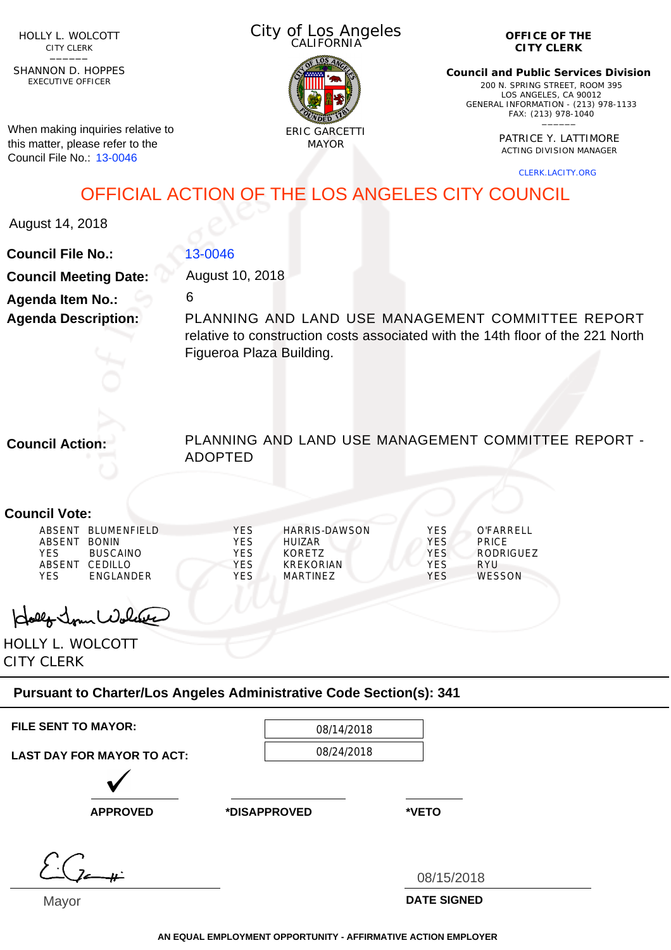HOLLY L. WOLCOTT CITY CLERK<br>—————

EXECUTIVE OFFICER SHANNON D. HOPPES

When making inquiries relative to this matter, please refer to the Council File No.: 13-0046

City of Los Angeles CALIFORNIA



**OFFICE OF THE CITY CLERK**

**Council and Public Services Division** 200 N. SPRING STREET, ROOM 395 LOS ANGELES, CA 90012 GENERAL INFORMATION - (213) 978-1133 FAX: (213) 978-1040 \_\_\_\_\_\_

> PATRICE Y. LATTIMORE ACTING DIVISION MANAGER

> > CLERK.LACITY.ORG

## OFFICIAL ACTION OF THE LOS ANGELES CITY COUNCIL

August 14, 2018

| <b>Council File No.:</b>     | 13-0046                                                                                                                             |
|------------------------------|-------------------------------------------------------------------------------------------------------------------------------------|
| <b>Council Meeting Date:</b> | August 10, 2018                                                                                                                     |
| <b>Agenda Item No.:</b>      | 6                                                                                                                                   |
| <b>Agenda Description:</b>   | PLANNING AND LAND USE MANAGEMENT COMMITTEE REPORT<br>relative to construction costs associated with the 14th floor of the 221 North |
|                              | Figueroa Plaza Building.                                                                                                            |
|                              |                                                                                                                                     |

**Council Action:**

PLANNING AND LAND USE MANAGEMENT COMMITTEE REPORT - ADOPTED

## **Council Vote:**

|        | ABSENT BLUMENFIFLD | <b>YES</b> | HARRIS-DAWSON | <b>YES</b> | O'FARRFI I    |
|--------|--------------------|------------|---------------|------------|---------------|
| ABSENT | <b>BONIN</b>       | YES        | HUIZAR.       | <b>YES</b> | <b>PRICE</b>  |
| YFS    | <b>BUSCAINO</b>    | YES        | KORFT7        | YES.       | RODRIGUEZ     |
| ABSENT | CEDILLO            | YES        | KREKORIAN     | YFS        | RYU           |
| YFS    | <b>FNGI ANDER</b>  | YFS.       | MARTINF7      | <b>YFS</b> | <b>WESSON</b> |
|        |                    |            |               |            |               |

olly Jour Wolcase

HOLLY L. WOLCOTT CITY CLERK

## **Pursuant to Charter/Los Angeles Administrative Code Section(s): 341**

| <b>FILE SENT TO MAYOR:</b>        | 08/14/2018   |                    |
|-----------------------------------|--------------|--------------------|
| <b>LAST DAY FOR MAYOR TO ACT:</b> | 08/24/2018   |                    |
|                                   |              |                    |
| <b>APPROVED</b>                   | *DISAPPROVED | *VETO              |
|                                   |              |                    |
|                                   |              | 08/15/2018         |
| $M$ ovor                          |              | <b>DATE SIGNED</b> |

Mayor

**DATE SIGNED**

**AN EQUAL EMPLOYMENT OPPORTUNITY - AFFIRMATIVE ACTION EMPLOYER**